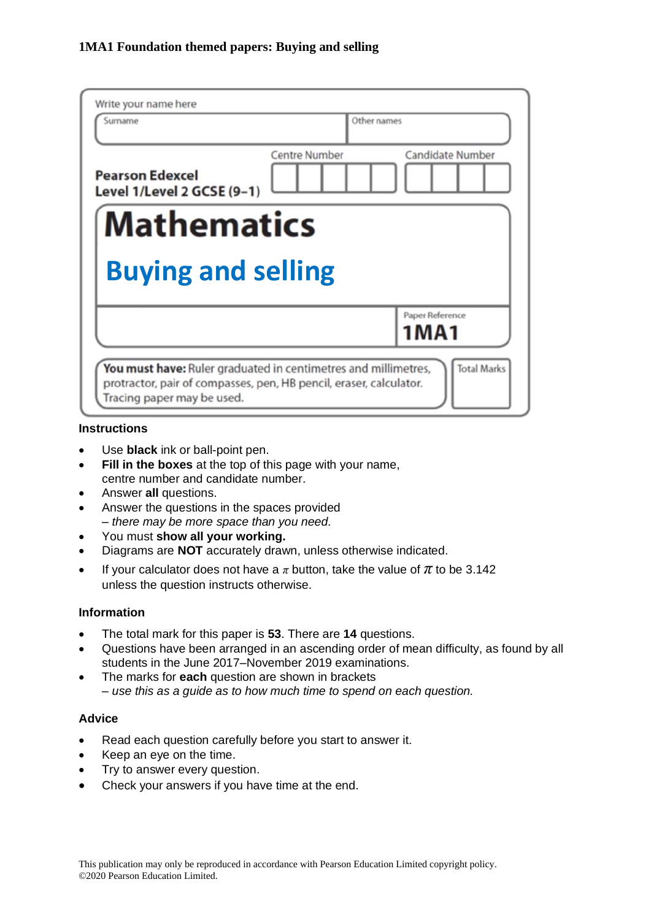| Write your name here                                 |               |                  |  |
|------------------------------------------------------|---------------|------------------|--|
| Surname                                              | Other names   |                  |  |
| <b>Pearson Edexcel</b><br>Level 1/Level 2 GCSE (9-1) | Centre Number | Candidate Number |  |
| <b>Mathematics</b>                                   |               |                  |  |
| <b>Buying and selling</b>                            |               |                  |  |
|                                                      |               |                  |  |
|                                                      |               | Paper Reference  |  |
|                                                      |               | 1 M A 1          |  |

#### **Instructions**

- Use **black** ink or ball-point pen.
- **Fill in the boxes** at the top of this page with your name, centre number and candidate number.
- Answer **all** questions.
- Answer the questions in the spaces provided *– there may be more space than you need.*
- You must **show all your working.**
- Diagrams are **NOT** accurately drawn, unless otherwise indicated.
- If your calculator does not have a  $\pi$  button, take the value of  $\pi$  to be 3.142 unless the question instructs otherwise.

# **Information**

- The total mark for this paper is **53**. There are **14** questions.
- Questions have been arranged in an ascending order of mean difficulty, as found by all students in the June 2017–November 2019 examinations.
- The marks for **each** question are shown in brackets *– use this as a guide as to how much time to spend on each question.*

# **Advice**

- Read each question carefully before you start to answer it.
- Keep an eye on the time.
- Try to answer every question.
- Check your answers if you have time at the end.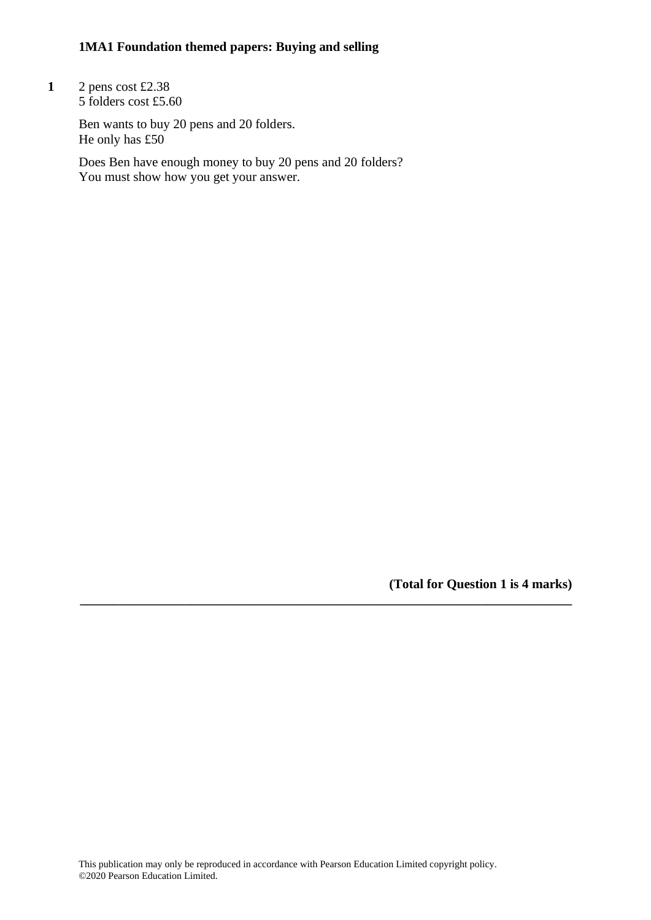**1** 2 pens cost £2.38 5 folders cost £5.60

> Ben wants to buy 20 pens and 20 folders. He only has £50

Does Ben have enough money to buy 20 pens and 20 folders? You must show how you get your answer.

**(Total for Question 1 is 4 marks)**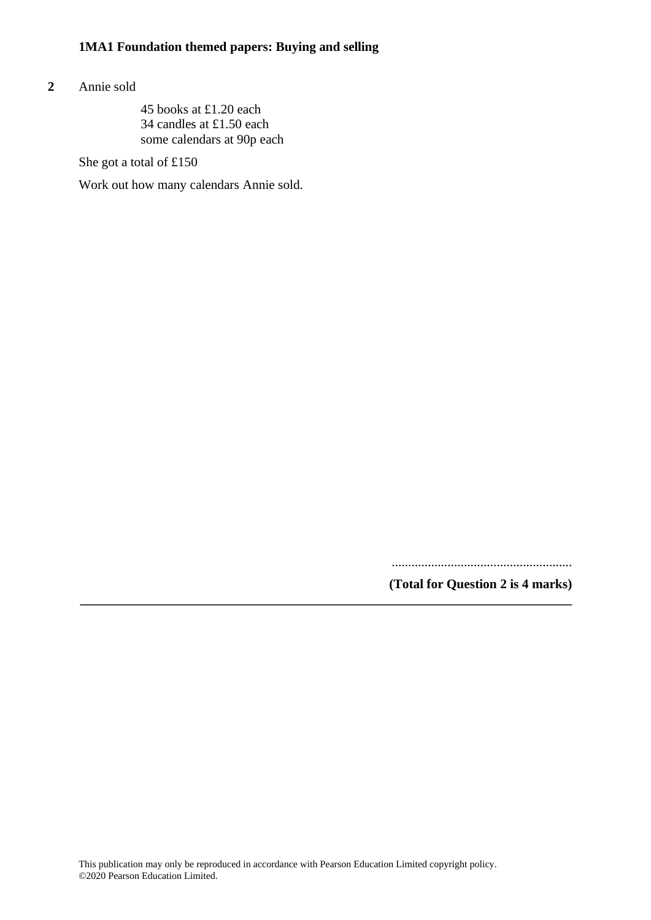#### **2** Annie sold

45 books at £1.20 each 34 candles at £1.50 each some calendars at 90p each

She got a total of £150

Work out how many calendars Annie sold.

.......................................................

**(Total for Question 2 is 4 marks)**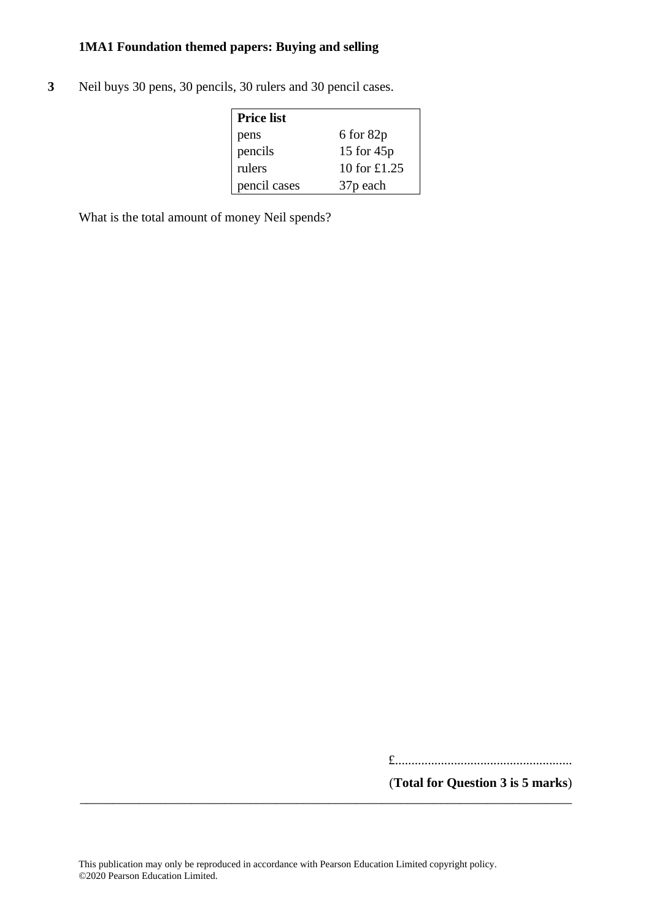**3** Neil buys 30 pens, 30 pencils, 30 rulers and 30 pencil cases.

| <b>Price list</b> |                      |
|-------------------|----------------------|
| pens              | $6$ for $82p$        |
| pencils           | 15 for $45p$         |
| rulers            | 10 for £1.25         |
| pencil cases      | 37 <sub>p</sub> each |

What is the total amount of money Neil spends?

£......................................................

(**Total for Question 3 is 5 marks**)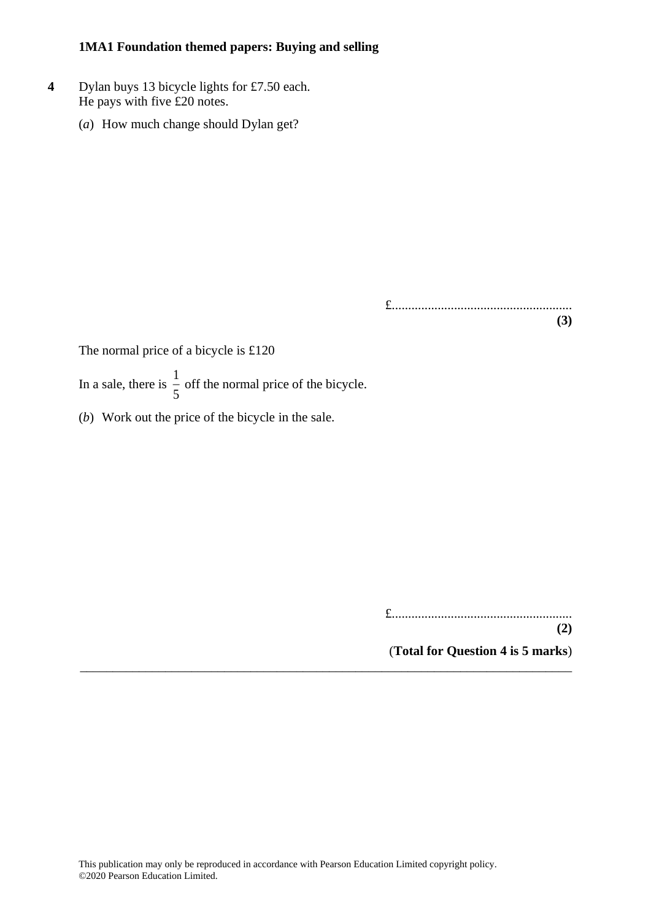- **4** Dylan buys 13 bicycle lights for £7.50 each. He pays with five £20 notes.
	- (*a*) How much change should Dylan get?

£....................................................... **(3)**

The normal price of a bicycle is £120

In a sale, there is  $\frac{1}{5}$  $\frac{1}{5}$  off the normal price of the bicycle.

(*b*) Work out the price of the bicycle in the sale.

£.......................................................

**(2)** (**Total for Question 4 is 5 marks**)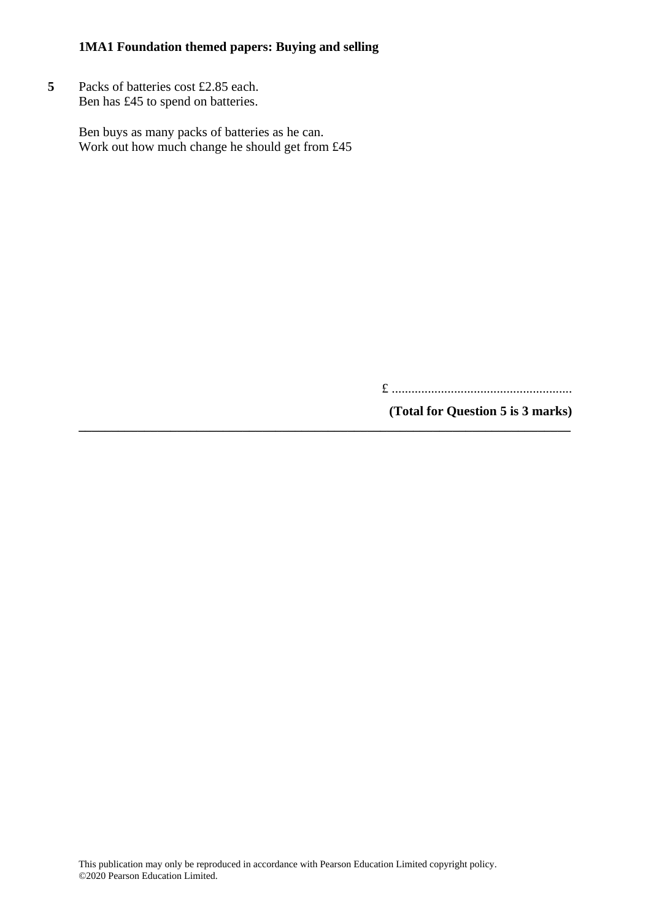**5** Packs of batteries cost £2.85 each. Ben has £45 to spend on batteries.

> Ben buys as many packs of batteries as he can. Work out how much change he should get from £45

> > £ .......................................................

**(Total for Question 5 is 3 marks)**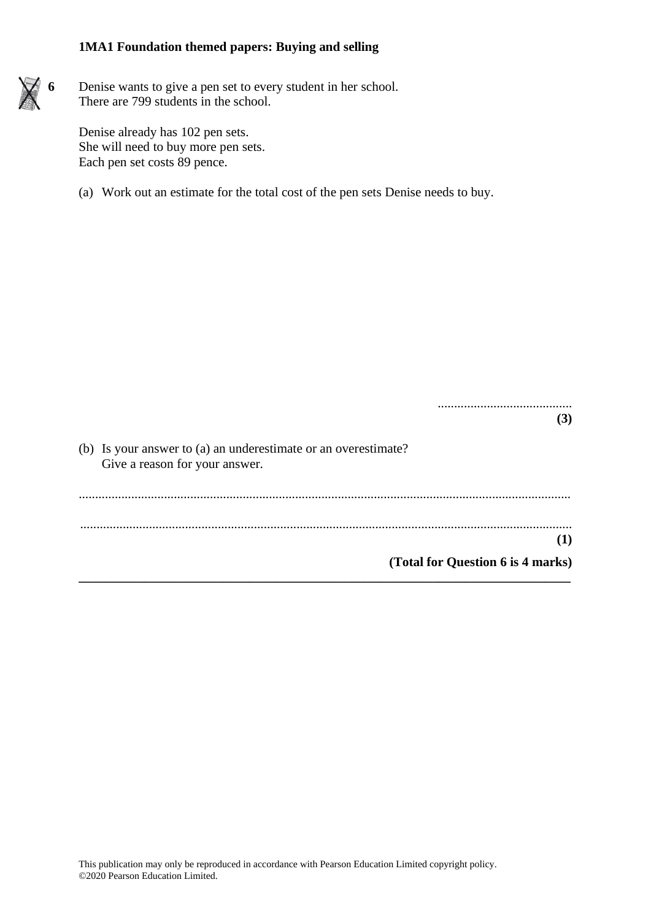

Denise already has 102 pen sets. She will need to buy more pen sets. Each pen set costs 89 pence.

(a) Work out an estimate for the total cost of the pen sets Denise needs to buy.

|                                                                                                  | (3) |
|--------------------------------------------------------------------------------------------------|-----|
| (b) Is your answer to (a) an underestimate or an overestimate?<br>Give a reason for your answer. |     |
|                                                                                                  | (1) |
|                                                                                                  |     |
| (Total for Question 6 is 4 marks)                                                                |     |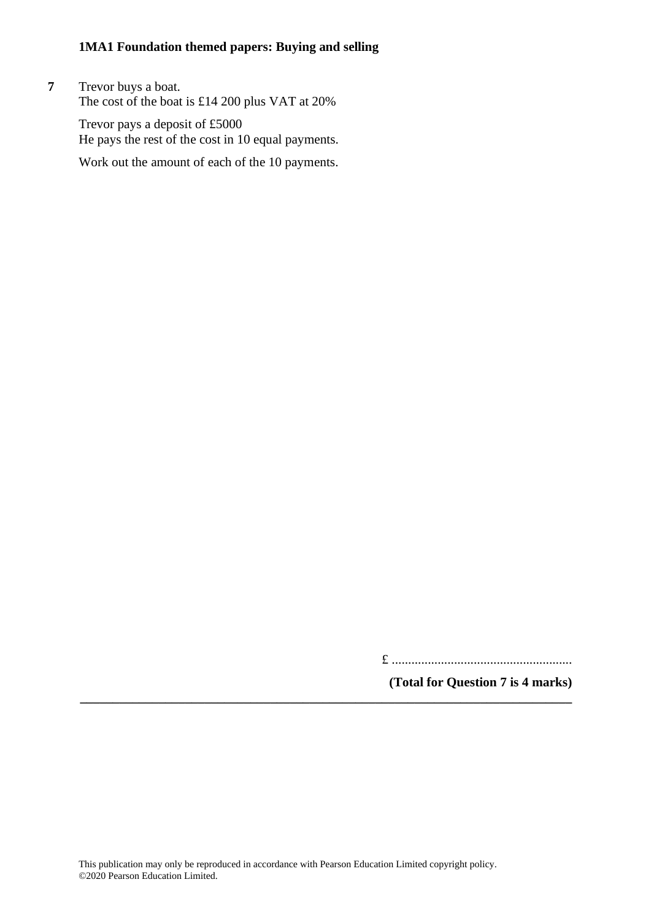**7** Trevor buys a boat. The cost of the boat is £14 200 plus VAT at 20%

> Trevor pays a deposit of £5000 He pays the rest of the cost in 10 equal payments.

> Work out the amount of each of the 10 payments.

£ .......................................................

**(Total for Question 7 is 4 marks)**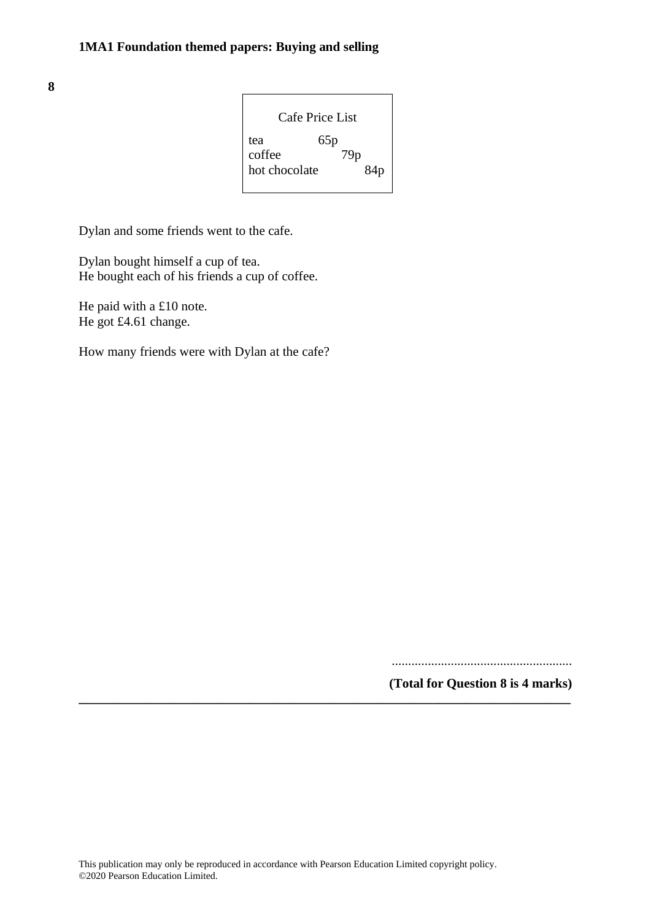**8**

| Cafe Price List |     |  |
|-----------------|-----|--|
| tea             | 65p |  |
| coffee          | 79p |  |
| hot chocolate   | 84p |  |

Dylan and some friends went to the cafe.

Dylan bought himself a cup of tea. He bought each of his friends a cup of coffee.

He paid with a £10 note. He got £4.61 change.

How many friends were with Dylan at the cafe?

.......................................................

**(Total for Question 8 is 4 marks)**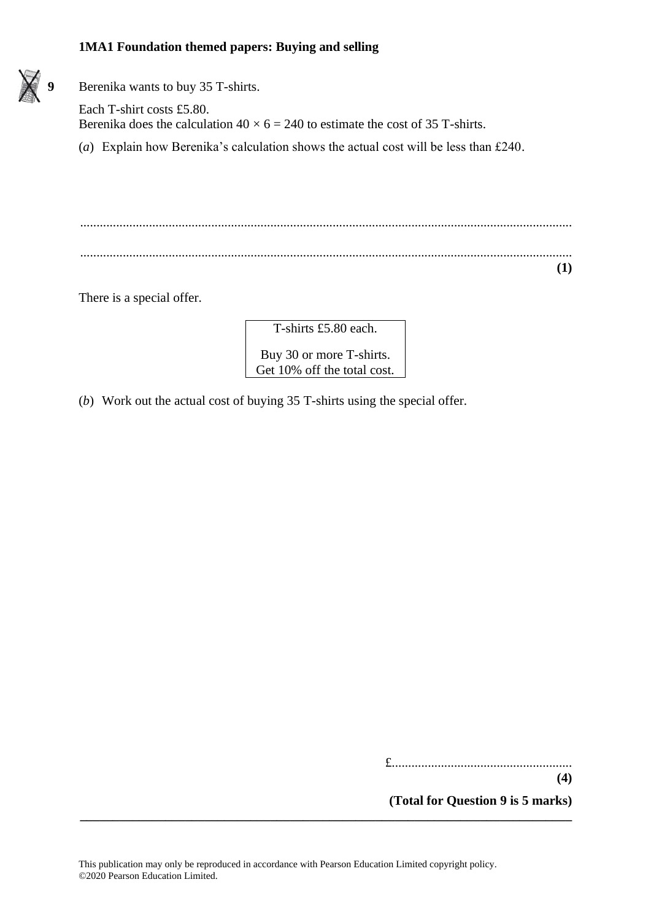

**9** Berenika wants to buy 35 T-shirts.

Each T-shirt costs £5.80. Berenika does the calculation  $40 \times 6 = 240$  to estimate the cost of 35 T-shirts.

(*a*) Explain how Berenika's calculation shows the actual cost will be less than £240.

...................................................................................................................................................... ...................................................................................................................................................... **(1)**

There is a special offer.

T-shirts £5.80 each.

Buy 30 or more T-shirts. Get 10% off the total cost.

(*b*) Work out the actual cost of buying 35 T-shirts using the special offer.

£.......................................................

**(4)**

**(Total for Question 9 is 5 marks)**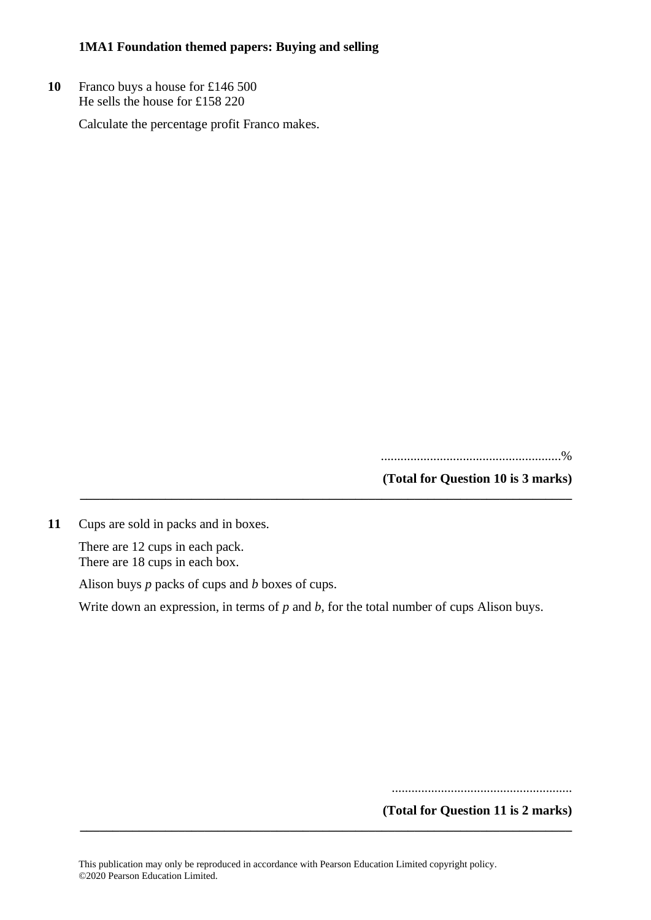**10** Franco buys a house for £146 500 He sells the house for £158 220

Calculate the percentage profit Franco makes.

.......................................................%

**(Total for Question 10 is 3 marks)**

**11** Cups are sold in packs and in boxes.

There are 12 cups in each pack. There are 18 cups in each box.

Alison buys *p* packs of cups and *b* boxes of cups.

Write down an expression, in terms of *p* and *b*, for the total number of cups Alison buys.

**\_\_\_\_\_\_\_\_\_\_\_\_\_\_\_\_\_\_\_\_\_\_\_\_\_\_\_\_\_\_\_\_\_\_\_\_\_\_\_\_\_\_\_\_\_\_\_\_\_\_\_\_\_\_\_\_\_\_\_\_\_\_\_\_\_\_\_\_\_\_\_\_\_\_\_**

.......................................................

**(Total for Question 11 is 2 marks)**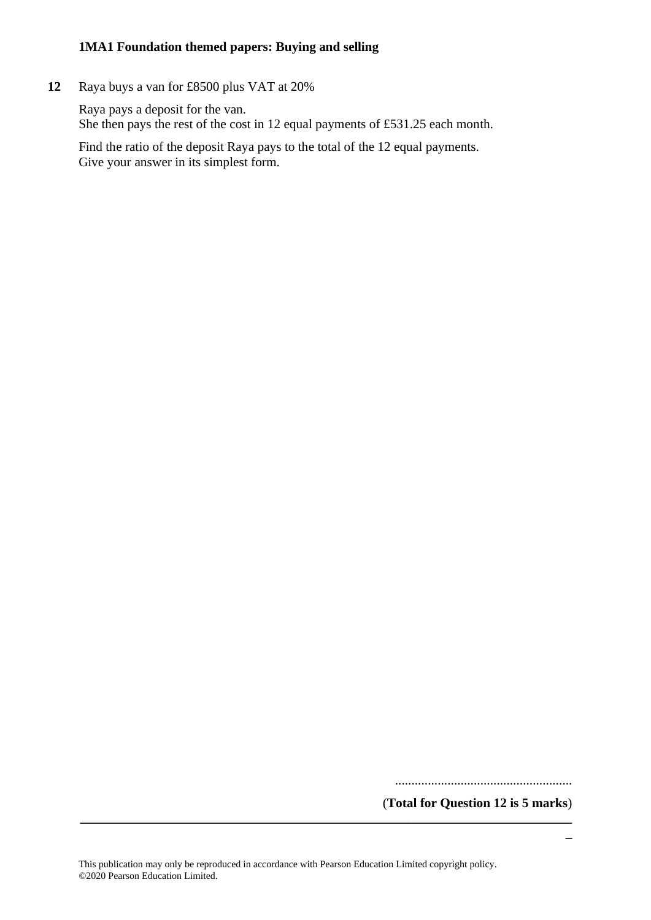**12** Raya buys a van for £8500 plus VAT at 20%

Raya pays a deposit for the van. She then pays the rest of the cost in 12 equal payments of £531.25 each month.

Find the ratio of the deposit Raya pays to the total of the 12 equal payments. Give your answer in its simplest form.

......................................................

(**Total for Question 12 is 5 marks**) **\_\_\_\_\_\_\_\_\_\_\_\_\_\_\_\_\_\_\_\_\_\_\_\_\_\_\_\_\_\_\_\_\_\_\_\_\_\_\_\_\_\_\_\_\_\_\_\_\_\_\_\_\_\_\_\_\_\_\_\_\_\_\_\_\_\_\_\_\_\_\_\_\_\_\_**